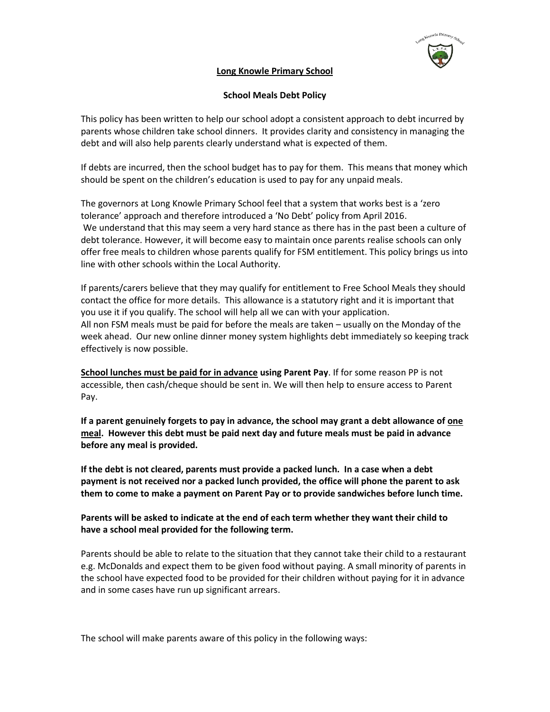

## **Long Knowle Primary School**

#### **School Meals Debt Policy**

This policy has been written to help our school adopt a consistent approach to debt incurred by parents whose children take school dinners. It provides clarity and consistency in managing the debt and will also help parents clearly understand what is expected of them.

If debts are incurred, then the school budget has to pay for them. This means that money which should be spent on the children's education is used to pay for any unpaid meals.

The governors at Long Knowle Primary School feel that a system that works best is a 'zero tolerance' approach and therefore introduced a 'No Debt' policy from April 2016. We understand that this may seem a very hard stance as there has in the past been a culture of debt tolerance. However, it will become easy to maintain once parents realise schools can only offer free meals to children whose parents qualify for FSM entitlement. This policy brings us into line with other schools within the Local Authority.

If parents/carers believe that they may qualify for entitlement to Free School Meals they should contact the office for more details. This allowance is a statutory right and it is important that you use it if you qualify. The school will help all we can with your application. All non FSM meals must be paid for before the meals are taken – usually on the Monday of the week ahead. Our new online dinner money system highlights debt immediately so keeping track effectively is now possible.

**School lunches must be paid for in advance using Parent Pay**. If for some reason PP is not accessible, then cash/cheque should be sent in. We will then help to ensure access to Parent Pay.

**If a parent genuinely forgets to pay in advance, the school may grant a debt allowance of one meal. However this debt must be paid next day and future meals must be paid in advance before any meal is provided.**

**If the debt is not cleared, parents must provide a packed lunch. In a case when a debt payment is not received nor a packed lunch provided, the office will phone the parent to ask them to come to make a payment on Parent Pay or to provide sandwiches before lunch time.**

**Parents will be asked to indicate at the end of each term whether they want their child to have a school meal provided for the following term.**

Parents should be able to relate to the situation that they cannot take their child to a restaurant e.g. McDonalds and expect them to be given food without paying. A small minority of parents in the school have expected food to be provided for their children without paying for it in advance and in some cases have run up significant arrears.

The school will make parents aware of this policy in the following ways: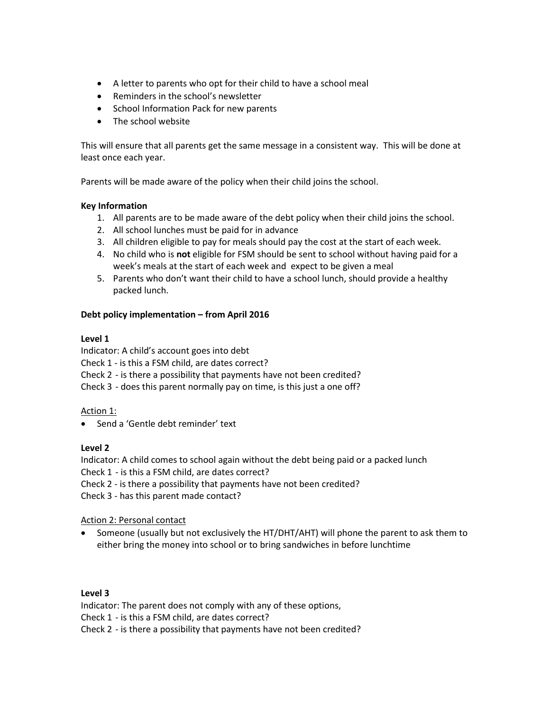- A letter to parents who opt for their child to have a school meal
- Reminders in the school's newsletter
- School Information Pack for new parents
- The school website

This will ensure that all parents get the same message in a consistent way. This will be done at least once each year.

Parents will be made aware of the policy when their child joins the school.

# **Key Information**

- 1. All parents are to be made aware of the debt policy when their child joins the school.
- 2. All school lunches must be paid for in advance
- 3. All children eligible to pay for meals should pay the cost at the start of each week.
- 4. No child who is **not** eligible for FSM should be sent to school without having paid for a week's meals at the start of each week and expect to be given a meal
- 5. Parents who don't want their child to have a school lunch, should provide a healthy packed lunch.

# **Debt policy implementation – from April 2016**

# **Level 1**

Indicator: A child's account goes into debt

Check 1 - is this a FSM child, are dates correct?

Check 2 - is there a possibility that payments have not been credited?

Check 3 - does this parent normally pay on time, is this just a one off?

Action 1:

• Send a 'Gentle debt reminder' text

# **Level 2**

Indicator: A child comes to school again without the debt being paid or a packed lunch

Check 1 - is this a FSM child, are dates correct?

Check 2 - is there a possibility that payments have not been credited?

Check 3 - has this parent made contact?

Action 2: Personal contact

• Someone (usually but not exclusively the HT/DHT/AHT) will phone the parent to ask them to either bring the money into school or to bring sandwiches in before lunchtime

# **Level 3**

Indicator: The parent does not comply with any of these options, Check 1 - is this a FSM child, are dates correct? Check 2 - is there a possibility that payments have not been credited?